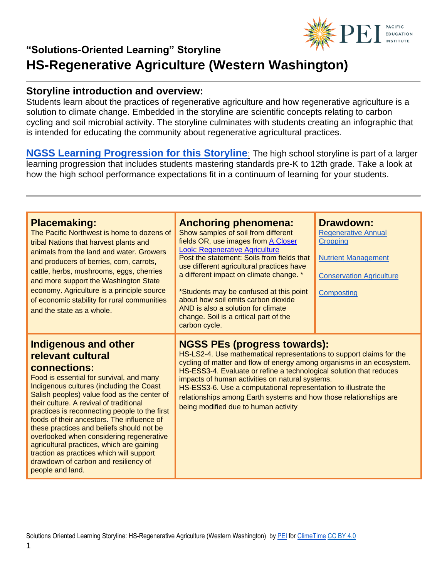

#### **Storyline introduction and overview:**

Students learn about the practices of regenerative agriculture and how regenerative agriculture is a solution to climate change. Embedded in the storyline are scientific concepts relating to carbon cycling and soil microbial activity. The storyline culminates with students creating an infographic that is intended for educating the community about regenerative agricultural practices.

**[NGSS Learning Progression for this Storyline](https://pacificeductioninstitute.sharepoint.com/:x:/s/Program/EQ6jx72eybpMoG6LAwvMxSIBOk8hoF2Tlk827quJB_Kg0g?e=KJ1vC9)**: The high school storyline is part of a larger learning progression that includes students mastering standards pre-K to 12th grade. Take a look at how the high school performance expectations fit in a continuum of learning for your students.

| <b>Placemaking:</b><br>The Pacific Northwest is home to dozens of<br>tribal Nations that harvest plants and<br>animals from the land and water. Growers<br>and producers of berries, corn, carrots,<br>cattle, herbs, mushrooms, eggs, cherries<br>and more support the Washington State<br>economy. Agriculture is a principle source<br>of economic stability for rural communities<br>and the state as a whole.                                                                                                                                                                       | <b>Anchoring phenomena:</b><br>Show samples of soil from different<br>fields OR, use images from A Closer<br><b>Look: Regenerative Agriculture</b><br>Post the statement: Soils from fields that<br>use different agricultural practices have<br>a different impact on climate change. *<br>*Students may be confused at this point<br>about how soil emits carbon dioxide<br>AND is also a solution for climate<br>change. Soil is a critical part of the<br>carbon cycle.                    | <b>Drawdown:</b><br><b>Regenerative Annual</b><br>Cropping<br><b>Nutrient Management</b><br><b>Conservation Agriculture</b><br>Composting |
|------------------------------------------------------------------------------------------------------------------------------------------------------------------------------------------------------------------------------------------------------------------------------------------------------------------------------------------------------------------------------------------------------------------------------------------------------------------------------------------------------------------------------------------------------------------------------------------|------------------------------------------------------------------------------------------------------------------------------------------------------------------------------------------------------------------------------------------------------------------------------------------------------------------------------------------------------------------------------------------------------------------------------------------------------------------------------------------------|-------------------------------------------------------------------------------------------------------------------------------------------|
| Indigenous and other<br>relevant cultural<br>connections:<br>Food is essential for survival, and many<br>Indigenous cultures (including the Coast<br>Salish peoples) value food as the center of<br>their culture. A revival of traditional<br>practices is reconnecting people to the first<br>foods of their ancestors. The influence of<br>these practices and beliefs should not be<br>overlooked when considering regenerative<br>agricultural practices, which are gaining<br>traction as practices which will support<br>drawdown of carbon and resiliency of<br>people and land. | <b>NGSS PEs (progress towards):</b><br>HS-LS2-4. Use mathematical representations to support claims for the<br>cycling of matter and flow of energy among organisms in an ecosystem.<br>HS-ESS3-4. Evaluate or refine a technological solution that reduces<br>impacts of human activities on natural systems.<br>HS-ESS3-6. Use a computational representation to illustrate the<br>relationships among Earth systems and how those relationships are<br>being modified due to human activity |                                                                                                                                           |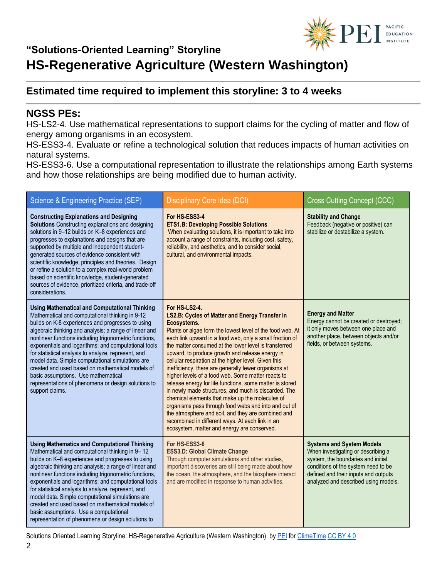

#### **Estimated time required to implement this storyline: 3 to 4 weeks**

#### **NGSS PEs:**

HS-LS2-4. Use mathematical representations to support claims for the cycling of matter and flow of energy among organisms in an ecosystem.

HS-ESS3-4. Evaluate or refine a technological solution that reduces impacts of human activities on natural systems.

HS-ESS3-6. Use a computational representation to illustrate the relationships among Earth systems and how those relationships are being modified due to human activity.

| Science & Engineering Practice (SEP)                                                                                                                                                                                                                                                                                                                                                                                                                                                                                                                                                                                     | Disciplinary Core Idea (DCI)                                                                                                                                                                                                                                                                                                                                                                                                                                                                                                                                                                                                                                                                                                                                                                                                                                                      | <b>Cross Cutting Concept (CCC)</b>                                                                                                                                                                                                  |
|--------------------------------------------------------------------------------------------------------------------------------------------------------------------------------------------------------------------------------------------------------------------------------------------------------------------------------------------------------------------------------------------------------------------------------------------------------------------------------------------------------------------------------------------------------------------------------------------------------------------------|-----------------------------------------------------------------------------------------------------------------------------------------------------------------------------------------------------------------------------------------------------------------------------------------------------------------------------------------------------------------------------------------------------------------------------------------------------------------------------------------------------------------------------------------------------------------------------------------------------------------------------------------------------------------------------------------------------------------------------------------------------------------------------------------------------------------------------------------------------------------------------------|-------------------------------------------------------------------------------------------------------------------------------------------------------------------------------------------------------------------------------------|
| <b>Constructing Explanations and Designing</b><br>Solutions Constructing explanations and designing<br>solutions in 9-12 builds on K-8 experiences and<br>progresses to explanations and designs that are<br>supported by multiple and independent student-<br>generated sources of evidence consistent with<br>scientific knowledge, principles and theories. Design<br>or refine a solution to a complex real-world problem<br>based on scientific knowledge, student-generated<br>sources of evidence, prioritized criteria, and trade-off<br>considerations.                                                         | For HS-ESS3-4<br><b>ETS1.B: Developing Possible Solutions</b><br>When evaluating solutions, it is important to take into<br>account a range of constraints, including cost, safety,<br>reliability, and aesthetics, and to consider social,<br>cultural, and environmental impacts.                                                                                                                                                                                                                                                                                                                                                                                                                                                                                                                                                                                               | <b>Stability and Change</b><br>Feedback (negative or positive) can<br>stabilize or destabilize a system.                                                                                                                            |
| <b>Using Mathematical and Computational Thinking</b><br>Mathematical and computational thinking in 9-12<br>builds on K-8 experiences and progresses to using<br>algebraic thinking and analysis; a range of linear and<br>nonlinear functions including trigonometric functions,<br>exponentials and logarithms; and computational tools<br>for statistical analysis to analyze, represent, and<br>model data. Simple computational simulations are<br>created and used based on mathematical models of<br>basic assumptions. Use mathematical<br>representations of phenomena or design solutions to<br>support claims. | For HS-LS2-4.<br>LS2.B: Cycles of Matter and Energy Transfer in<br>Ecosystems.<br>Plants or algae form the lowest level of the food web. At<br>each link upward in a food web, only a small fraction of<br>the matter consumed at the lower level is transferred<br>upward, to produce growth and release energy in<br>cellular respiration at the higher level. Given this<br>inefficiency, there are generally fewer organisms at<br>higher levels of a food web. Some matter reacts to<br>release energy for life functions, some matter is stored<br>in newly made structures, and much is discarded. The<br>chemical elements that make up the molecules of<br>organisms pass through food webs and into and out of<br>the atmosphere and soil, and they are combined and<br>recombined in different ways. At each link in an<br>ecosystem, matter and energy are conserved. | <b>Energy and Matter</b><br>Energy cannot be created or destroyed;<br>it only moves between one place and<br>another place, between objects and/or<br>fields, or between systems.                                                   |
| <b>Using Mathematics and Computational Thinking</b><br>Mathematical and computational thinking in 9-12<br>builds on K-8 experiences and progresses to using<br>algebraic thinking and analysis; a range of linear and<br>nonlinear functions including trigonometric functions,<br>exponentials and logarithms; and computational tools<br>for statistical analysis to analyze, represent, and<br>model data. Simple computational simulations are<br>created and used based on mathematical models of<br>basic assumptions. Use a computational<br>representation of phenomena or design solutions to                   | For HS-ESS3-6<br><b>ESS3.D: Global Climate Change</b><br>Through computer simulations and other studies,<br>important discoveries are still being made about how<br>the ocean, the atmosphere, and the biosphere interact<br>and are modified in response to human activities.                                                                                                                                                                                                                                                                                                                                                                                                                                                                                                                                                                                                    | <b>Systems and System Models</b><br>When investigating or describing a<br>system, the boundaries and initial<br>conditions of the system need to be<br>defined and their inputs and outputs<br>analyzed and described using models. |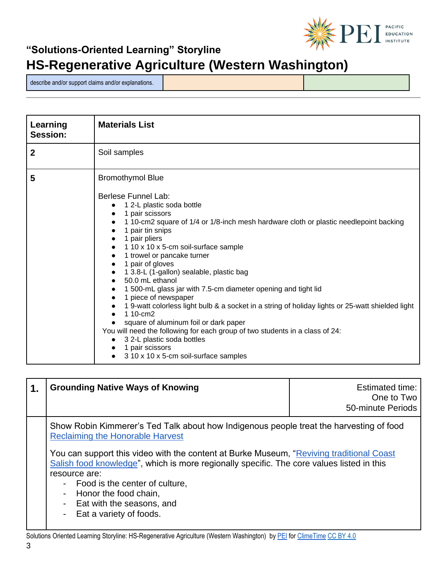

describe and/or support claims and/or explanations.

| Learning<br>Session: | <b>Materials List</b>                                                                                                                                                                                                                                                                                                                                                                                                                                                                                                                                                                                                                                                                                                                                                                                                                                                        |
|----------------------|------------------------------------------------------------------------------------------------------------------------------------------------------------------------------------------------------------------------------------------------------------------------------------------------------------------------------------------------------------------------------------------------------------------------------------------------------------------------------------------------------------------------------------------------------------------------------------------------------------------------------------------------------------------------------------------------------------------------------------------------------------------------------------------------------------------------------------------------------------------------------|
| $\boldsymbol{2}$     | Soil samples                                                                                                                                                                                                                                                                                                                                                                                                                                                                                                                                                                                                                                                                                                                                                                                                                                                                 |
| 5                    | <b>Bromothymol Blue</b><br><b>Berlese Funnel Lab:</b><br>1 2-L plastic soda bottle<br>1 pair scissors<br>1 10-cm2 square of 1/4 or 1/8-inch mesh hardware cloth or plastic needlepoint backing<br>1 pair tin snips<br>1 pair pliers<br>1 10 x 10 x 5-cm soil-surface sample<br>1 trowel or pancake turner<br>$\bullet$<br>1 pair of gloves<br>$\bullet$<br>1 3.8-L (1-gallon) sealable, plastic bag<br>$\bullet$<br>50.0 mL ethanol<br>1 500-mL glass jar with 7.5-cm diameter opening and tight lid<br>1 piece of newspaper<br>1 9-watt colorless light bulb & a socket in a string of holiday lights or 25-watt shielded light<br>1 10-cm2<br>square of aluminum foil or dark paper<br>You will need the following for each group of two students in a class of 24:<br>3 2-L plastic soda bottles<br>$\bullet$<br>1 pair scissors<br>3 10 x 10 x 5-cm soil-surface samples |

| 1. | <b>Grounding Native Ways of Knowing</b>                                                                                                                                                                                                                                                                                                                                                                                                                             | Estimated time:<br>One to Two<br>50-minute Periods |
|----|---------------------------------------------------------------------------------------------------------------------------------------------------------------------------------------------------------------------------------------------------------------------------------------------------------------------------------------------------------------------------------------------------------------------------------------------------------------------|----------------------------------------------------|
|    | Show Robin Kimmerer's Ted Talk about how Indigenous people treat the harvesting of food<br><b>Reclaiming the Honorable Harvest</b><br>You can support this video with the content at Burke Museum, "Reviving traditional Coast<br>Salish food knowledge", which is more regionally specific. The core values listed in this<br>resource are:<br>- Food is the center of culture,<br>Honor the food chain,<br>- Eat with the seasons, and<br>Eat a variety of foods. |                                                    |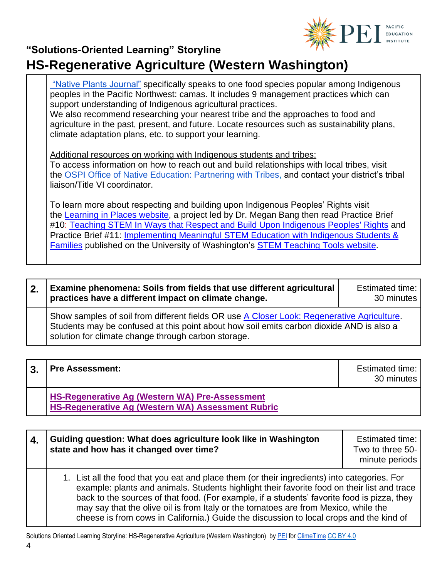

["Native Plants Journal"](https://rngr.net/npn/journal/articles/ethnobotany-culture-management-and-use-of-common-camas) specifically speaks to one food species popular among Indigenous peoples in the Pacific Northwest: camas. It includes 9 management practices which can support understanding of Indigenous agricultural practices. We also recommend researching your nearest tribe and the approaches to food and agriculture in the past, present, and future. Locate resources such as sustainability plans, climate adaptation plans, etc. to support your learning. Additional resources on working with Indigenous students and tribes: To access information on how to reach out and build relationships with local tribes, visit the [OSPI Office of Native Education: Partnering with Tribes,](https://www.k12.wa.us/student-success/resources-subject-area/time-immemorial-tribal-sovereignty-washington-state/partnering-tribes) and contact your district's tribal liaison/Title VI coordinator. To learn more about respecting and building upon Indigenous Peoples' Rights visit the [Learning in Places website,](http://learninginplaces.org/) a project led by Dr. Megan Bang then read Practice Brief

#10[:](http://stemteachingtools.org/brief/10) [Teaching STEM In Ways that Respect and Build Upon Indigenous Peoples' Rights](http://stemteachingtools.org/brief/10) and Practice Brief #11[:](http://stemteachingtools.org/brief/11) [Implementing Meaningful STEM Education with Indigenous Students &](http://stemteachingtools.org/brief/11)  [Families](http://stemteachingtools.org/brief/11) published on the University of Washington's [STEM Teaching Tools website](http://stemteachingtools.org/).

#### **2. Examine phenomena: Soils from fields that use different agricultural practices have a different impact on climate change.**  Estimated time: 30 minutes Show samples of soil from different fields OR use [A Closer Look: Regenerative Agriculture.](https://kisstheground.com/a-closer-look-regenerative-agriculture-practices-part-1/) Students may be confused at this point about how soil emits carbon dioxide AND is also a solution for climate change through carbon storage.

**3. Pre Assessment: Extimated time: Extimated time: Extimated time:** 30 minutes **[HS-Regenerative Ag](https://pacificeductioninstitute.sharepoint.com/:w:/r/sites/Program/_layouts/15/Doc.aspx?sourcedoc=%7BF4183B96-BCC1-457B-BAC3-603D8F7C9B9E%7D&file=HS-Regenerative%20Ag%20(Western%20WA)%20Pre-Assessment.docx&action=default&mobileredirect=true) (Western WA) Pre-Assessment**

**[HS-Regenerative Ag \(Western WA\) Assessment Rubric](https://pacificeductioninstitute.sharepoint.com/:w:/r/sites/Program/_layouts/15/Doc.aspx?sourcedoc=%7B9F1E0F78-7454-478F-B4E7-32809F98814F%7D&file=HS-Regenerative%20Ag%20(Western%20WA)%20Assessment%20Rubric%20_.docx&action=default&mobileredirect=true)**

| 4. | Guiding question: What does agriculture look like in Washington<br>state and how has it changed over time?                                                                                                                                                                                                                                                                                                                                                                   | <b>Estimated time:</b><br>Two to three 50-<br>minute periods |
|----|------------------------------------------------------------------------------------------------------------------------------------------------------------------------------------------------------------------------------------------------------------------------------------------------------------------------------------------------------------------------------------------------------------------------------------------------------------------------------|--------------------------------------------------------------|
|    | 1. List all the food that you eat and place them (or their ingredients) into categories. For<br>example: plants and animals. Students highlight their favorite food on their list and trace<br>back to the sources of that food. (For example, if a students' favorite food is pizza, they<br>may say that the olive oil is from Italy or the tomatoes are from Mexico, while the<br>cheese is from cows in California.) Guide the discussion to local crops and the kind of |                                                              |

Solutions Oriented Learning Storyline: HS-Regenerative Agriculture (Western Washington) by [PEI](https://pacificeducationinstitute.org/) fo[r ClimeTime](https://www.climetime.org/) [CC BY 4.0](https://creativecommons.org/licenses/by/4.0/)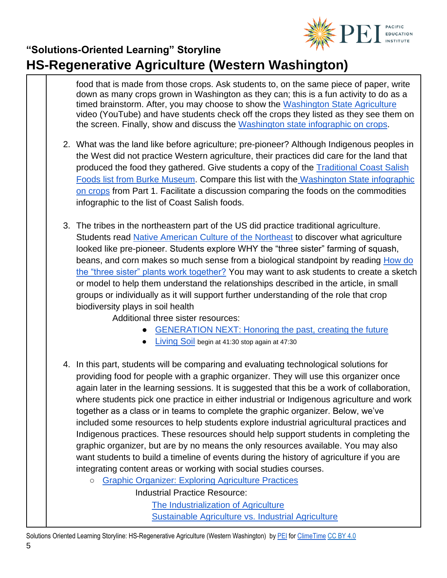

food that is made from those crops. Ask students to, on the same piece of paper, write down as many crops grown in Washington as they can; this is a fun activity to do as a timed brainstorm. After, you may choose to show the [Washington State Agriculture](https://youtu.be/DbfjtzdN-A4) video (YouTube) and have students check off the crops they listed as they see them on the screen. Finally, show and discuss the [Washington state infographic on crops.](https://agr.wa.gov/washington-agriculture)

- 2. What was the land like before agriculture; pre-pioneer? Although Indigenous peoples in the West did not practice Western agriculture, their practices did care for the land that produced the food they gathered. Give students a copy of the Traditional Coast Salish [Foods list from Burke Museum.](https://www.burkemuseum.org/sites/default/files/2019-07/reviving_traditional_food_knowledge.pdf) Compare this list with the [Washington State infographic](https://cms.agr.wa.gov/WSDAKentico/Documents/Pubs/644-WAAgTopCommodWordCloud-WEB.pdf?/644-WAAgTopCommodWordCloud-WEB)  [on crops](https://cms.agr.wa.gov/WSDAKentico/Documents/Pubs/644-WAAgTopCommodWordCloud-WEB.pdf?/644-WAAgTopCommodWordCloud-WEB) from Part 1. Facilitate a discussion comparing the foods on the commodities infographic to the list of Coast Salish foods.
- 3. The tribes in the northeastern part of the US did practice traditional agriculture. Students read Native American [Culture of the Northeast](https://www.khanacademy.org/humanities/us-history/precontact-and-early-colonial-era/before-contact/a/northeast-indian-culture) to discover what agriculture looked like pre-pioneer. Students explore WHY the "three sister" farming of squash, beans, and corn makes so much sense from a biological standpoint by reading How do [the "three sister" plants work together?](https://soilsmatter.wordpress.com/2017/06/01/how-do-the-three-sister-plants-work-together/) You may want to ask students to create a sketch or model to help them understand the relationships described in the article, in small groups or individually as it will support further understanding of the role that crop biodiversity plays in soil health

Additional three sister resources:

- [GENERATION NEXT: Honoring the past, creating the future](https://www.skagitonians.org/blog/generation-next-honoring-the-past-creating-the-future?rq=long%20hearing%20farm)
- **[Living Soil](https://www.youtube.com/watch?v=ntJouJhLM48&t=395s) begin at 41:30 stop again at 47:30**
- 4. In this part, students will be comparing and evaluating technological solutions for providing food for people with a graphic organizer. They will use this organizer once again later in the learning sessions. It is suggested that this be a work of collaboration, where students pick one practice in either industrial or Indigenous agriculture and work together as a class or in teams to complete the graphic organizer. Below, we've included some resources to help students explore industrial agricultural practices and Indigenous practices. These resources should help support students in completing the graphic organizer, but are by no means the only resources available. You may also want students to build a timeline of events during the history of agriculture if you are integrating content areas or working with social studies courses.
	- [Graphic Organizer: Exploring Agriculture Practices](https://docs.google.com/document/d/16tmYdwUc5g_j-Ro1s78z5LkpyfKitTvTmqNqEq3v8Yg/edit?usp=sharing)

Industrial Practice Resource:

[The Industrialization of Agriculture](https://www.foodsystemprimer.org/food-production/industrialization-of-agriculture/) [Sustainable Agriculture vs. Industrial Agriculture](https://foodprint.org/issues/sustainable-agriculture-vs-industrial-agriculture/)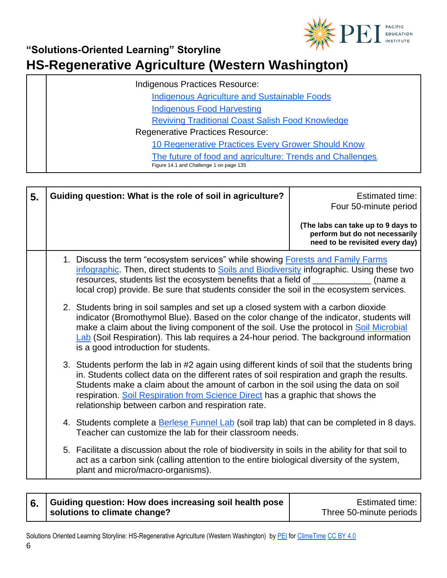

#### **"Solutions-Oriented Learning" Storyline**

# **HS-Regenerative Agriculture (Western Washington)**

| Indigenous Practices Resource:                                                                        |  |
|-------------------------------------------------------------------------------------------------------|--|
| <b>Indigenous Agriculture and Sustainable Foods</b>                                                   |  |
| <b>Indigenous Food Harvesting</b>                                                                     |  |
| <b>Reviving Traditional Coast Salish Food Knowledge</b>                                               |  |
| <b>Regenerative Practices Resource:</b>                                                               |  |
| 10 Regenerative Practices Every Grower Should Know                                                    |  |
| The future of food and agriculture: Trends and Challenges,<br>Figure 14.1 and Challenge 1 on page 135 |  |

| 5. | Guiding question: What is the role of soil in agriculture?                                                                                                                                                                                                                                                                                                                                                                 | <b>Estimated time:</b><br>Four 50-minute period                                                         |
|----|----------------------------------------------------------------------------------------------------------------------------------------------------------------------------------------------------------------------------------------------------------------------------------------------------------------------------------------------------------------------------------------------------------------------------|---------------------------------------------------------------------------------------------------------|
|    |                                                                                                                                                                                                                                                                                                                                                                                                                            | (The labs can take up to 9 days to<br>perform but do not necessarily<br>need to be revisited every day) |
|    | 1. Discuss the term "ecosystem services" while showing <b>Forests and Family Farms</b><br>infographic. Then, direct students to Soils and Biodiversity infographic. Using these two<br>resources, students list the ecosystem benefits that a field of ___________<br>local crop) provide. Be sure that students consider the soil in the ecosystem services.                                                              | (name a                                                                                                 |
|    | 2. Students bring in soil samples and set up a closed system with a carbon dioxide<br>indicator (Bromothymol Blue). Based on the color change of the indicator, students will<br>make a claim about the living component of the soil. Use the protocol in Soil Microbial<br>Lab (Soil Respiration). This lab requires a 24-hour period. The background information<br>is a good introduction for students.                 |                                                                                                         |
|    | 3. Students perform the lab in #2 again using different kinds of soil that the students bring<br>in. Students collect data on the different rates of soil respiration and graph the results.<br>Students make a claim about the amount of carbon in the soil using the data on soil<br>respiration. Soil Respiration from Science Direct has a graphic that shows the<br>relationship between carbon and respiration rate. |                                                                                                         |
|    | 4. Students complete a Berlese Funnel Lab (soil trap lab) that can be completed in 8 days.<br>Teacher can customize the lab for their classroom needs.                                                                                                                                                                                                                                                                     |                                                                                                         |
|    | 5. Facilitate a discussion about the role of biodiversity in soils in the ability for that soil to<br>act as a carbon sink (calling attention to the entire biological diversity of the system,<br>plant and micro/macro-organisms).                                                                                                                                                                                       |                                                                                                         |

#### **6. Guiding question: How does increasing soil health pose solutions to climate change?**

Estimated time: Three 50-minute periods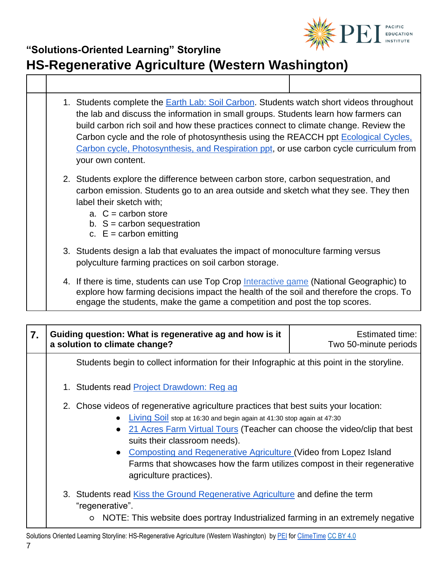

|  | 1. Students complete the <b>Earth Lab: Soil Carbon</b> . Students watch short videos throughout<br>the lab and discuss the information in small groups. Students learn how farmers can<br>build carbon rich soil and how these practices connect to climate change. Review the<br>Carbon cycle and the role of photosynthesis using the REACCH ppt Ecological Cycles,<br>Carbon cycle, Photosynthesis, and Respiration ppt, or use carbon cycle curriculum from<br>your own content. |
|--|--------------------------------------------------------------------------------------------------------------------------------------------------------------------------------------------------------------------------------------------------------------------------------------------------------------------------------------------------------------------------------------------------------------------------------------------------------------------------------------|
|  | 2. Students explore the difference between carbon store, carbon sequestration, and<br>carbon emission. Students go to an area outside and sketch what they see. They then<br>label their sketch with;<br>a. $C =$ carbon store<br>b. $S =$ carbon sequestration<br>c. $E =$ carbon emitting                                                                                                                                                                                          |
|  | 3. Students design a lab that evaluates the impact of monoculture farming versus<br>polyculture farming practices on soil carbon storage.                                                                                                                                                                                                                                                                                                                                            |
|  | 4. If there is time, students can use Top Crop Interactive game (National Geographic) to<br>explore how farming decisions impact the health of the soil and therefore the crops. To<br>engage the students, make the game a competition and post the top scores.                                                                                                                                                                                                                     |

| 7. | Guiding question: What is regenerative ag and how is it<br>a solution to climate change?                                                                                                                                                                                                                                                                                                                                                                                           | <b>Estimated time:</b><br>Two 50-minute periods |
|----|------------------------------------------------------------------------------------------------------------------------------------------------------------------------------------------------------------------------------------------------------------------------------------------------------------------------------------------------------------------------------------------------------------------------------------------------------------------------------------|-------------------------------------------------|
|    | Students begin to collect information for their Infographic at this point in the storyline.                                                                                                                                                                                                                                                                                                                                                                                        |                                                 |
|    | 1. Students read Project Drawdown: Reg ag                                                                                                                                                                                                                                                                                                                                                                                                                                          |                                                 |
|    | 2. Chose videos of regenerative agriculture practices that best suits your location:<br>Living Soil stop at 16:30 and begin again at 41:30 stop again at 47:30<br>$\bullet$<br>21 Acres Farm Virtual Tours (Teacher can choose the video/clip that best<br>$\bullet$<br>suits their classroom needs).<br>• Composting and Regenerative Agriculture (Video from Lopez Island<br>Farms that showcases how the farm utilizes compost in their regenerative<br>agriculture practices). |                                                 |
|    | 3. Students read Kiss the Ground Regenerative Agriculture and define the term<br>"regenerative".<br>NOTE: This website does portray Industrialized farming in an extremely negative<br>$\circ$                                                                                                                                                                                                                                                                                     |                                                 |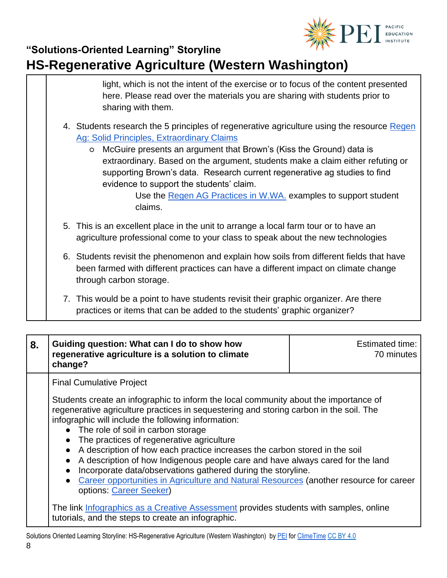

| light, which is not the intent of the exercise or to focus of the content presented<br>here. Please read over the materials you are sharing with students prior to<br>sharing with them.                                                                                                                                                                                                                                                                                                                          |
|-------------------------------------------------------------------------------------------------------------------------------------------------------------------------------------------------------------------------------------------------------------------------------------------------------------------------------------------------------------------------------------------------------------------------------------------------------------------------------------------------------------------|
| 4. Students research the 5 principles of regenerative agriculture using the resource Regen<br><b>Ag: Solid Principles, Extraordinary Claims</b><br>o McGuire presents an argument that Brown's (Kiss the Ground) data is<br>extraordinary. Based on the argument, students make a claim either refuting or<br>supporting Brown's data. Research current regenerative ag studies to find<br>evidence to support the students' claim.<br>Use the Regen AG Practices in W.WA. examples to support student<br>claims. |
| 5. This is an excellent place in the unit to arrange a local farm tour or to have an<br>agriculture professional come to your class to speak about the new technologies                                                                                                                                                                                                                                                                                                                                           |
| 6. Students revisit the phenomenon and explain how soils from different fields that have<br>been farmed with different practices can have a different impact on climate change<br>through carbon storage.                                                                                                                                                                                                                                                                                                         |
| 7. This would be a point to have students revisit their graphic organizer. Are there                                                                                                                                                                                                                                                                                                                                                                                                                              |

practices or items that can be added to the students' graphic organizer?

| 8.<br>Guiding question: What can I do to show how<br>regenerative agriculture is a solution to climate<br>change?                                                                                                                                                                                                                                                                                                                                                                                                                                                                                                                                                                                                                                                                                                                                                 | <b>Estimated time:</b><br>70 minutes |
|-------------------------------------------------------------------------------------------------------------------------------------------------------------------------------------------------------------------------------------------------------------------------------------------------------------------------------------------------------------------------------------------------------------------------------------------------------------------------------------------------------------------------------------------------------------------------------------------------------------------------------------------------------------------------------------------------------------------------------------------------------------------------------------------------------------------------------------------------------------------|--------------------------------------|
| <b>Final Cumulative Project</b><br>Students create an infographic to inform the local community about the importance of<br>regenerative agriculture practices in sequestering and storing carbon in the soil. The<br>infographic will include the following information:<br>• The role of soil in carbon storage<br>The practices of regenerative agriculture<br>A description of how each practice increases the carbon stored in the soil<br>A description of how Indigenous people care and have always cared for the land<br>Incorporate data/observations gathered during the storyline.<br>Career opportunities in Agriculture and Natural Resources (another resource for career<br>options: Career Seeker)<br>The link Infographics as a Creative Assessment provides students with samples, online<br>tutorials, and the steps to create an infographic. |                                      |